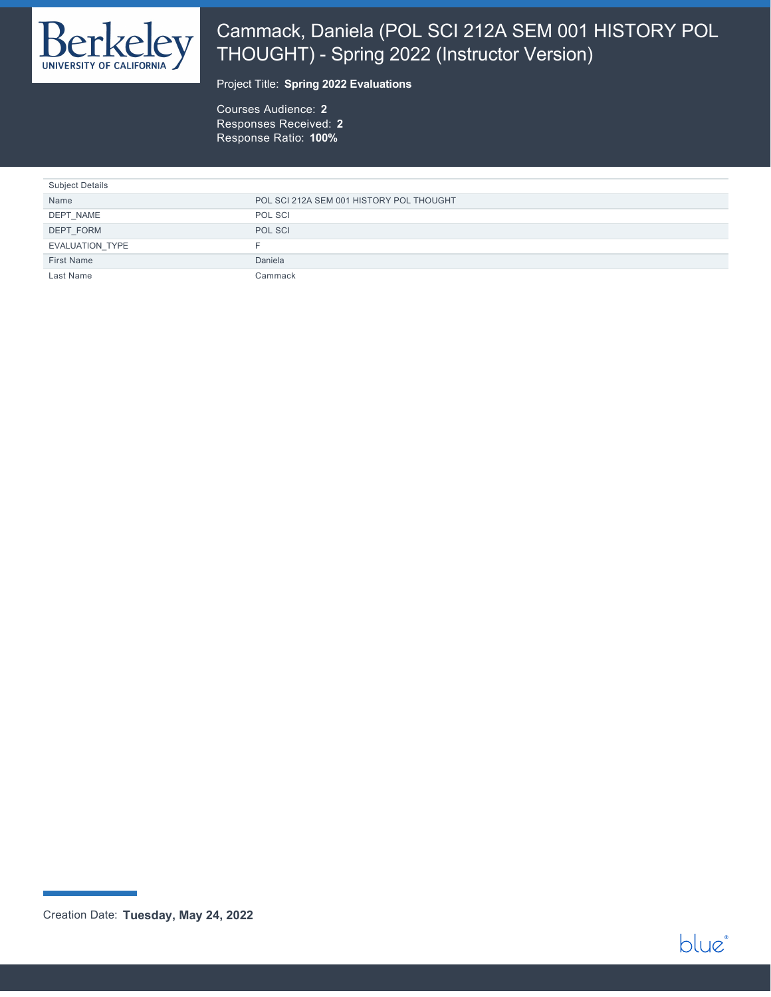

# Cammack, Daniela (POL SCI 212A SEM 001 HISTORY POL THOUGHT) - Spring 2022 (Instructor Version)

Project Title: **Spring 2022 Evaluations**

Courses Audience: **2** Responses Received: **2** Response Ratio: **100%**

| <b>Subject Details</b> |                                          |
|------------------------|------------------------------------------|
| Name                   | POL SCI 212A SEM 001 HISTORY POL THOUGHT |
| DEPT NAME              | POL SCI                                  |
| DEPT FORM              | POL SCI                                  |
| EVALUATION TYPE        |                                          |
| <b>First Name</b>      | Daniela                                  |
| Last Name              | Cammack                                  |



Creation Date: **Tuesday, May 24, 2022**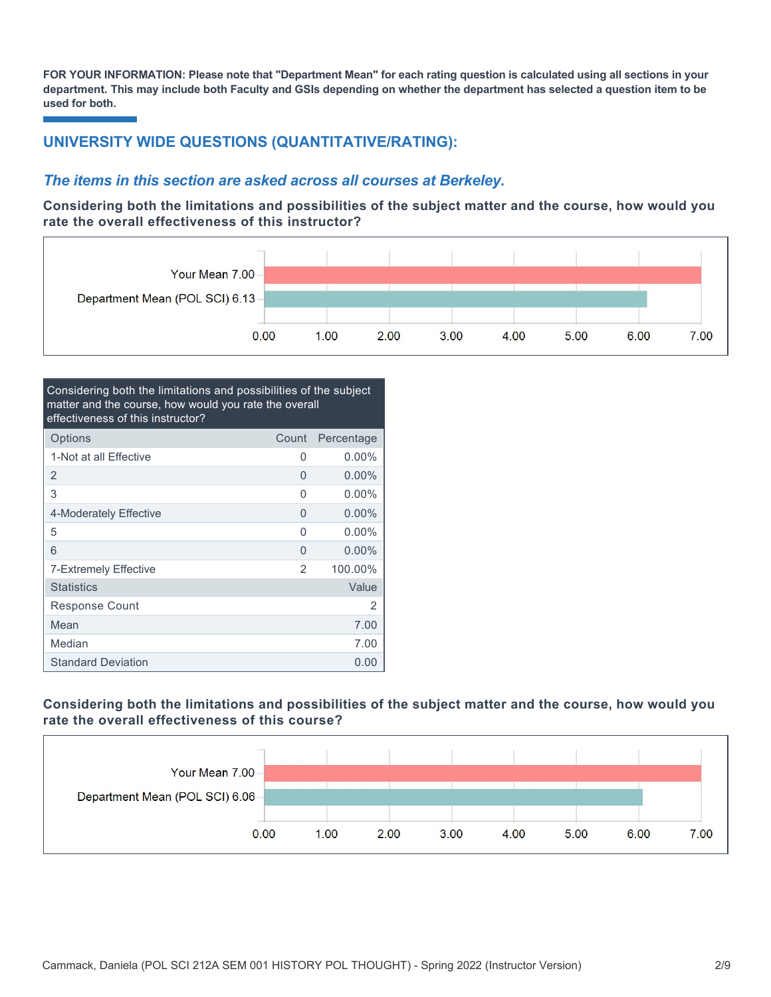**FOR YOUR INFORMATION: Please note that "Department Mean" for each rating question is calculated using all sections in your department. This may include both Faculty and GSIs depending on whether the department has selected a question item to be used for both.**

# **UNIVERSITY WIDE QUESTIONS (QUANTITATIVE/RATING):**

## *The items in this section are asked across all courses at Berkeley.*

**Considering both the limitations and possibilities of the subject matter and the course, how would you rate the overall effectiveness of this instructor?**



| Considering both the limitations and possibilities of the subject<br>matter and the course, how would you rate the overall<br>effectiveness of this instructor? |               |            |
|-----------------------------------------------------------------------------------------------------------------------------------------------------------------|---------------|------------|
| Options                                                                                                                                                         | Count         | Percentage |
| 1-Not at all Effective                                                                                                                                          | 0             | 0.00%      |
| 2                                                                                                                                                               | 0             | $0.00\%$   |
| 3                                                                                                                                                               | O             | $0.00\%$   |
| 4-Moderately Effective                                                                                                                                          | 0             | $0.00\%$   |
| 5                                                                                                                                                               | 0             | $0.00\%$   |
| 6                                                                                                                                                               | 0             | $0.00\%$   |
| 7-Extremely Effective                                                                                                                                           | $\mathcal{P}$ | 100.00%    |
| <b>Statistics</b>                                                                                                                                               |               | Value      |
| Response Count                                                                                                                                                  |               | 2          |
| Mean                                                                                                                                                            |               | 7.00       |
| Median                                                                                                                                                          |               | 7.00       |
| <b>Standard Deviation</b>                                                                                                                                       |               | 0.00       |

#### **Considering both the limitations and possibilities of the subject matter and the course, how would you rate the overall effectiveness of this course?**

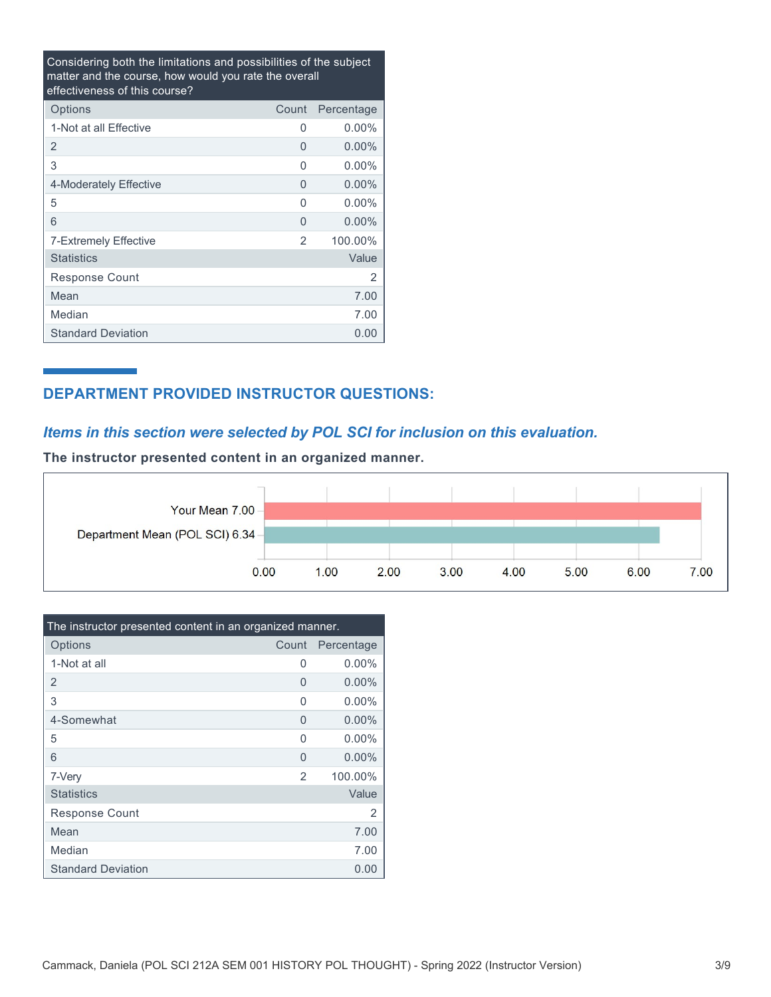Considering both the limitations and possibilities of the subject matter and the course, how would you rate the overall effectiveness of this course?

| Options                   | Count | Percentage |
|---------------------------|-------|------------|
| 1-Not at all Effective    | U     | $0.00\%$   |
| 2                         | 0     | $0.00\%$   |
| 3                         | 0     | $0.00\%$   |
| 4-Moderately Effective    | 0     | $0.00\%$   |
| 5                         | 0     | $0.00\%$   |
| 6                         | 0     | $0.00\%$   |
| 7-Extremely Effective     | 2     | 100.00%    |
| <b>Statistics</b>         |       | Value      |
| Response Count            |       | 2          |
| Mean                      |       | 7.00       |
| Median                    |       | 7.00       |
| <b>Standard Deviation</b> |       | 0.00       |

# **DEPARTMENT PROVIDED INSTRUCTOR QUESTIONS:**

# *Items in this section were selected by POL SCI for inclusion on this evaluation.*

**The instructor presented content in an organized manner.**



| The instructor presented content in an organized manner. |          |            |
|----------------------------------------------------------|----------|------------|
| Options                                                  | Count    | Percentage |
| 1-Not at all                                             | $\Omega$ | $0.00\%$   |
| 2                                                        | 0        | $0.00\%$   |
| 3                                                        | O        | $0.00\%$   |
| 4-Somewhat                                               | 0        | $0.00\%$   |
| 5                                                        | $\Omega$ | $0.00\%$   |
| 6                                                        | 0        | $0.00\%$   |
| 7-Very                                                   | 2        | 100.00%    |
| <b>Statistics</b>                                        |          | Value      |
| <b>Response Count</b>                                    |          | 2          |
| Mean                                                     |          | 7.00       |
| Median                                                   |          | 7.00       |
| <b>Standard Deviation</b>                                |          | 0.00       |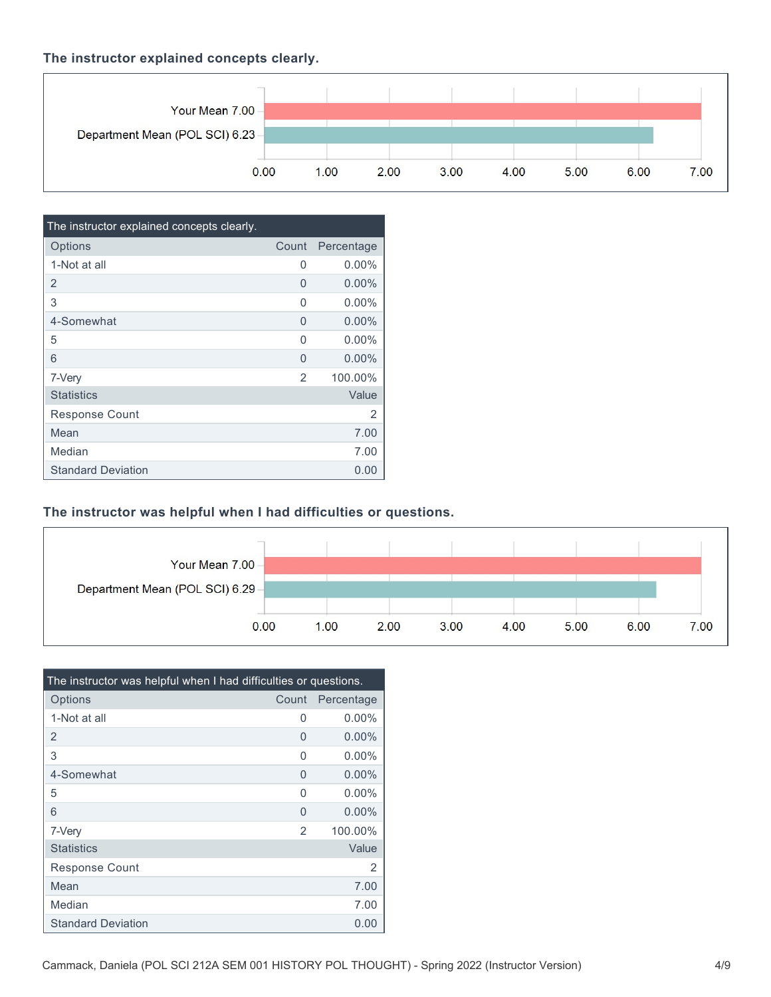### **The instructor explained concepts clearly.**



| The instructor explained concepts clearly. |       |            |
|--------------------------------------------|-------|------------|
| Options                                    | Count | Percentage |
| 1-Not at all                               | 0     | $0.00\%$   |
| $\overline{2}$                             | 0     | $0.00\%$   |
| 3                                          | O     | $0.00\%$   |
| 4-Somewhat                                 | 0     | $0.00\%$   |
| 5                                          | U     | $0.00\%$   |
| 6                                          | U     | $0.00\%$   |
| 7-Very                                     | 2     | 100.00%    |
| <b>Statistics</b>                          |       | Value      |
| <b>Response Count</b>                      |       | 2          |
| Mean                                       |       | 7.00       |
| Median                                     |       | 7.00       |
| <b>Standard Deviation</b>                  |       | 0.00       |

### **The instructor was helpful when I had difficulties or questions.**



| The instructor was helpful when I had difficulties or questions. |              |            |
|------------------------------------------------------------------|--------------|------------|
| Options                                                          | Count        | Percentage |
| 1-Not at all                                                     | $\Omega$     | $0.00\%$   |
| $\overline{2}$                                                   | 0            | $0.00\%$   |
| 3                                                                | $\Omega$     | $0.00\%$   |
| 4-Somewhat                                                       | 0            | $0.00\%$   |
| 5                                                                | O            | $0.00\%$   |
| 6                                                                | <sup>0</sup> | $0.00\%$   |
| 7-Very                                                           | 2            | 100.00%    |
| <b>Statistics</b>                                                |              | Value      |
| <b>Response Count</b>                                            |              | 2          |
| Mean                                                             |              | 7.00       |
| Median                                                           |              | 7.00       |
| <b>Standard Deviation</b>                                        |              | 0.00       |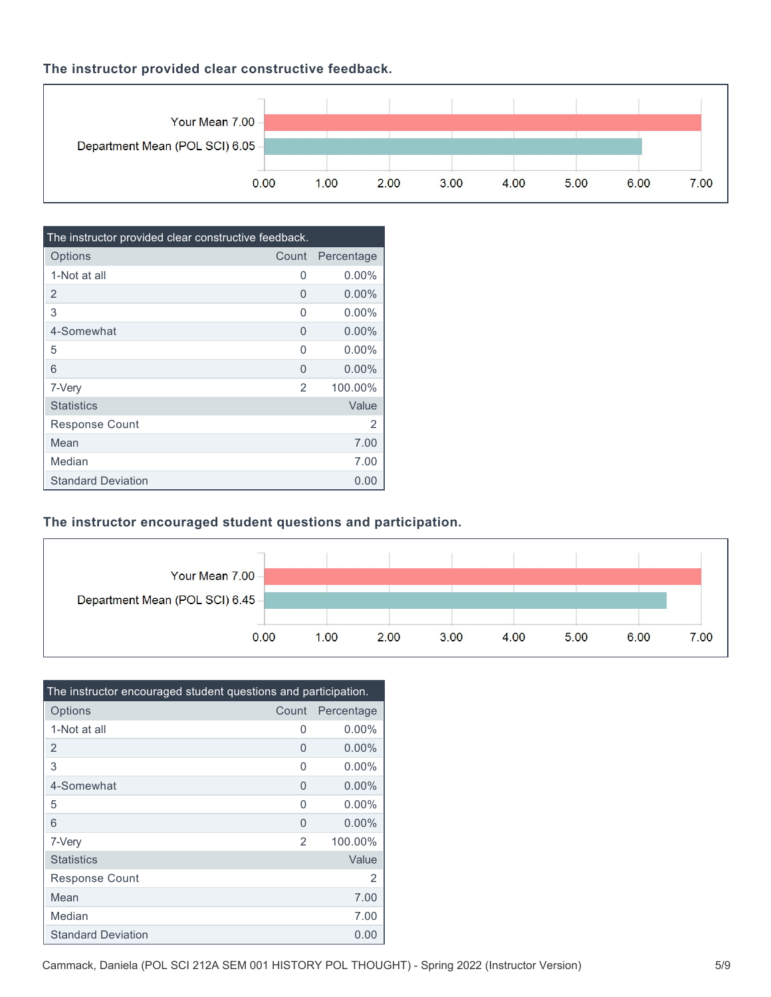#### **The instructor provided clear constructive feedback.**



| The instructor provided clear constructive feedback. |       |            |
|------------------------------------------------------|-------|------------|
| Options                                              | Count | Percentage |
| 1-Not at all                                         | 0     | $0.00\%$   |
| 2                                                    | U     | $0.00\%$   |
| 3                                                    | O     | $0.00\%$   |
| 4-Somewhat                                           | 0     | $0.00\%$   |
| 5                                                    | U     | $0.00\%$   |
| 6                                                    | O     | $0.00\%$   |
| 7-Very                                               | 2     | 100.00%    |
| <b>Statistics</b>                                    |       | Value      |
| <b>Response Count</b>                                |       | 2          |
| Mean                                                 |       | 7.00       |
| Median                                               |       | 7.00       |
| <b>Standard Deviation</b>                            |       | 0.00       |

# **The instructor encouraged student questions and participation.**



| The instructor encouraged student questions and participation. |              |            |
|----------------------------------------------------------------|--------------|------------|
| Options                                                        | Count        | Percentage |
| 1-Not at all                                                   | 0            | $0.00\%$   |
| $\overline{2}$                                                 | 0            | $0.00\%$   |
| 3                                                              | O            | $0.00\%$   |
| 4-Somewhat                                                     | 0            | $0.00\%$   |
| 5                                                              | O            | $0.00\%$   |
| 6                                                              | <sup>0</sup> | $0.00\%$   |
| 7-Very                                                         | 2            | 100.00%    |
| <b>Statistics</b>                                              |              | Value      |
| Response Count                                                 |              | 2          |
| Mean                                                           |              | 7.00       |
| Median                                                         |              | 7.00       |
| <b>Standard Deviation</b>                                      |              | 0.00       |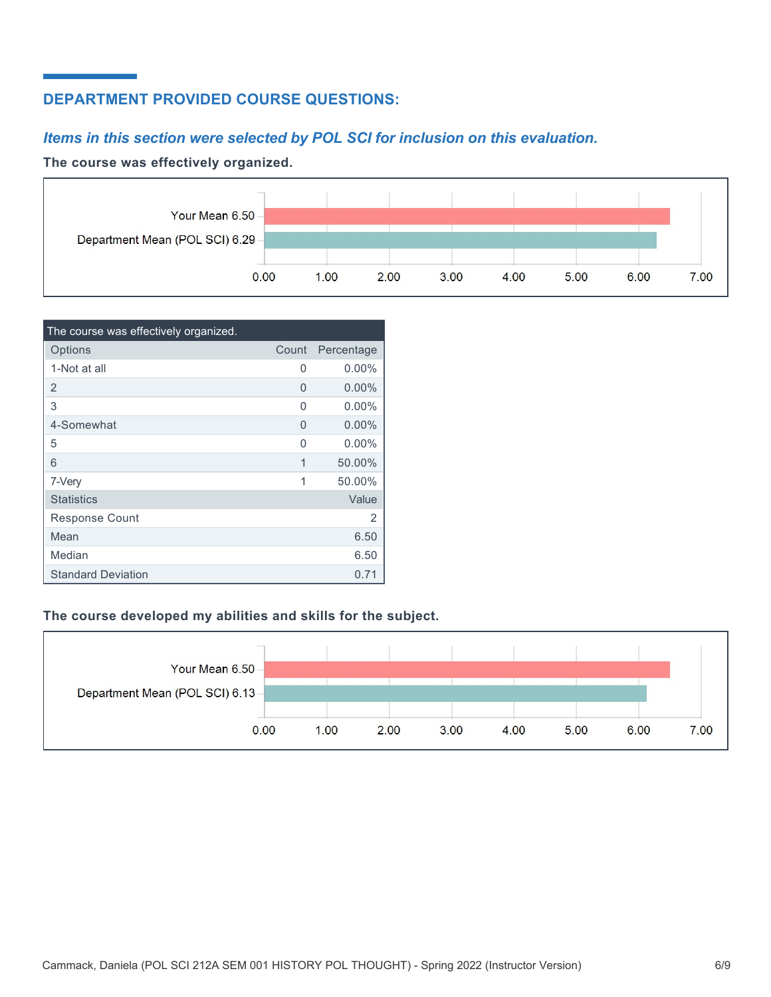# **DEPARTMENT PROVIDED COURSE QUESTIONS:**

## *Items in this section were selected by POL SCI for inclusion on this evaluation.*

#### **The course was effectively organized.**



| The course was effectively organized. |       |            |
|---------------------------------------|-------|------------|
| Options                               | Count | Percentage |
| 1-Not at all                          | 0     | $0.00\%$   |
| 2                                     | 0     | $0.00\%$   |
| 3                                     | 0     | $0.00\%$   |
| 4-Somewhat                            | 0     | $0.00\%$   |
| 5                                     | U     | $0.00\%$   |
| 6                                     | 1     | 50.00%     |
| 7-Very                                | 1     | 50.00%     |
| <b>Statistics</b>                     |       | Value      |
| <b>Response Count</b>                 |       | 2          |
| Mean                                  |       | 6.50       |
| Median                                |       | 6.50       |
| <b>Standard Deviation</b>             |       | 0.71       |

### **The course developed my abilities and skills for the subject.**

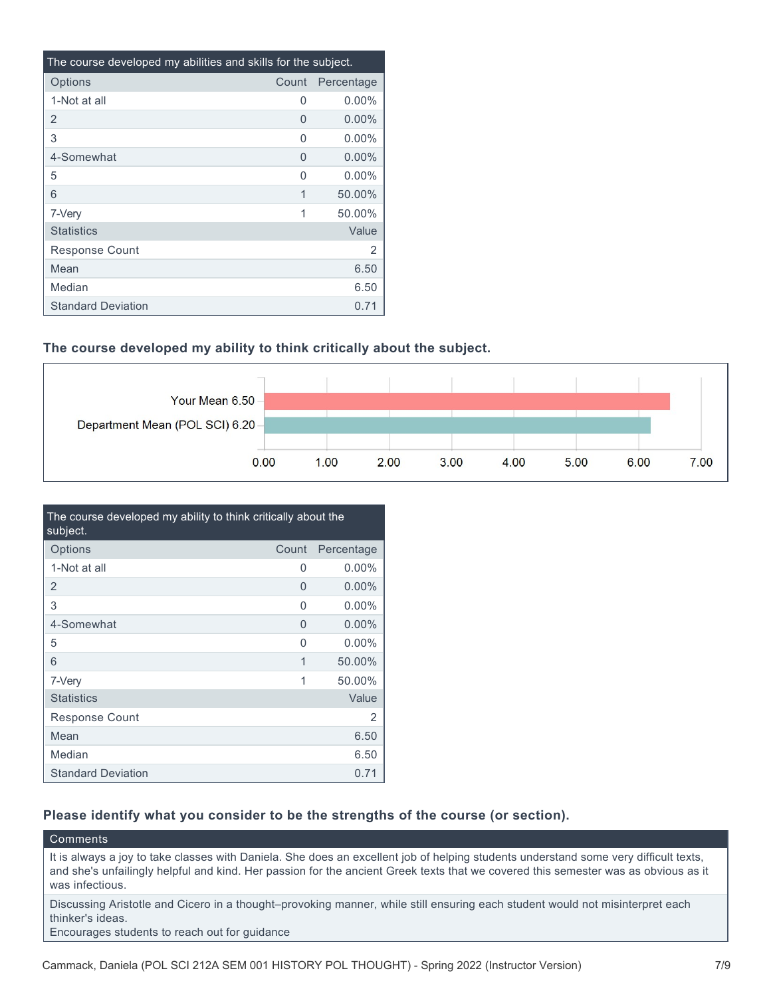| The course developed my abilities and skills for the subject. |       |            |
|---------------------------------------------------------------|-------|------------|
| Options                                                       | Count | Percentage |
| 1-Not at all                                                  | 0     | $0.00\%$   |
| 2                                                             | 0     | $0.00\%$   |
| 3                                                             | O     | $0.00\%$   |
| 4-Somewhat                                                    | 0     | $0.00\%$   |
| 5                                                             | ∩     | $0.00\%$   |
| 6                                                             | 1     | 50.00%     |
| 7-Very                                                        | 1     | 50.00%     |
| <b>Statistics</b>                                             |       | Value      |
| Response Count                                                |       | 2          |
| Mean                                                          |       | 6.50       |
| Median                                                        |       | 6.50       |
| <b>Standard Deviation</b>                                     |       | 0.71       |

#### **The course developed my ability to think critically about the subject.**



| The course developed my ability to think critically about the<br>subject. |          |            |
|---------------------------------------------------------------------------|----------|------------|
| Options                                                                   | Count    | Percentage |
| 1-Not at all                                                              | 0        | $0.00\%$   |
| $\overline{2}$                                                            | 0        | $0.00\%$   |
| 3                                                                         | $\Omega$ | $0.00\%$   |
| 4-Somewhat                                                                | 0        | $0.00\%$   |
| 5                                                                         | U        | $0.00\%$   |
| 6                                                                         | 1        | 50.00%     |
| 7-Very                                                                    | 1        | 50.00%     |
| <b>Statistics</b>                                                         |          | Value      |
| Response Count                                                            |          | 2          |
| Mean                                                                      |          | 6.50       |
| Median                                                                    |          | 6.50       |
| <b>Standard Deviation</b>                                                 |          | 0.71       |

#### **Please identify what you consider to be the strengths of the course (or section).**

#### Comments

It is always a joy to take classes with Daniela. She does an excellent job of helping students understand some very difficult texts, and she's unfailingly helpful and kind. Her passion for the ancient Greek texts that we covered this semester was as obvious as it was infectious.

Discussing Aristotle and Cicero in a thought–provoking manner, while still ensuring each student would not misinterpret each thinker's ideas.

Encourages students to reach out for guidance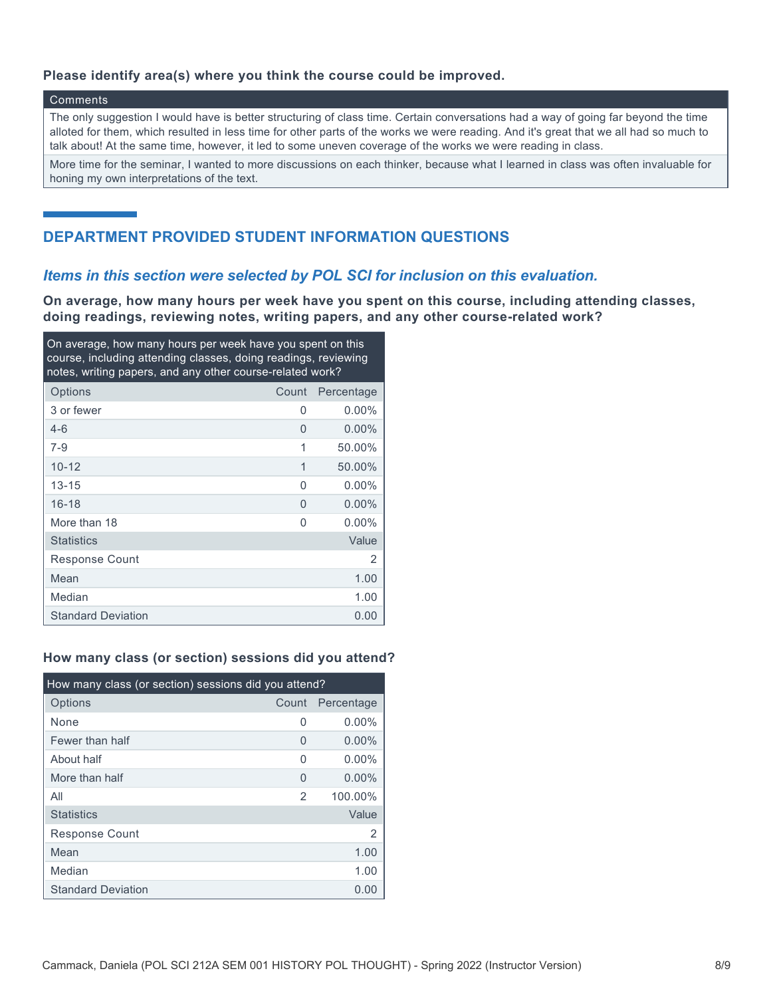#### **Please identify area(s) where you think the course could be improved.**

#### **Comments**

The only suggestion I would have is better structuring of class time. Certain conversations had a way of going far beyond the time alloted for them, which resulted in less time for other parts of the works we were reading. And it's great that we all had so much to talk about! At the same time, however, it led to some uneven coverage of the works we were reading in class.

More time for the seminar, I wanted to more discussions on each thinker, because what I learned in class was often invaluable for honing my own interpretations of the text.

### **DEPARTMENT PROVIDED STUDENT INFORMATION QUESTIONS**

#### *Items in this section were selected by POL SCI for inclusion on this evaluation.*

**On average, how many hours per week have you spent on this course, including attending classes, doing readings, reviewing notes, writing papers, and any other course-related work?**

| On average, how many hours per week have you spent on this<br>course, including attending classes, doing readings, reviewing<br>notes, writing papers, and any other course-related work? |          |            |
|-------------------------------------------------------------------------------------------------------------------------------------------------------------------------------------------|----------|------------|
| Options                                                                                                                                                                                   | Count    | Percentage |
| 3 or fewer                                                                                                                                                                                | O        | $0.00\%$   |
| $4-6$                                                                                                                                                                                     | 0        | $0.00\%$   |
| $7-9$                                                                                                                                                                                     | 1        | 50.00%     |
| $10 - 12$                                                                                                                                                                                 | 1        | 50.00%     |
| $13 - 15$                                                                                                                                                                                 | $\Omega$ | $0.00\%$   |
| $16 - 18$                                                                                                                                                                                 | 0        | $0.00\%$   |
| More than 18                                                                                                                                                                              | O        | $0.00\%$   |
| <b>Statistics</b>                                                                                                                                                                         |          | Value      |
| Response Count                                                                                                                                                                            |          | 2          |
| Mean                                                                                                                                                                                      |          | 1.00       |
| Median                                                                                                                                                                                    |          | 1.00       |
| <b>Standard Deviation</b>                                                                                                                                                                 |          | 0.00       |

#### **How many class (or section) sessions did you attend?**

| How many class (or section) sessions did you attend? |          |            |  |
|------------------------------------------------------|----------|------------|--|
| Options                                              | Count    | Percentage |  |
| None                                                 | 0        | $0.00\%$   |  |
| Fewer than half                                      | $\Omega$ | $0.00\%$   |  |
| About half                                           | O        | $0.00\%$   |  |
| More than half                                       | 0        | $0.00\%$   |  |
| All                                                  | 2        | 100.00%    |  |
| <b>Statistics</b>                                    |          | Value      |  |
| Response Count                                       |          | 2          |  |
| Mean                                                 |          | 1.00       |  |
| Median                                               |          | 1.00       |  |
| <b>Standard Deviation</b>                            |          | 0.00       |  |